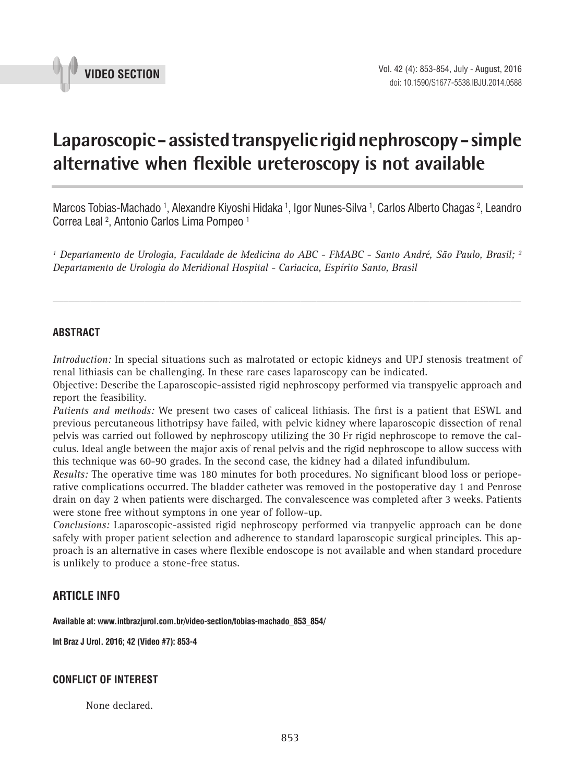

# **Laparoscopic - assisted transpyelic rigid nephroscopy - simple alternative when flexible ureteroscopy is not available \_\_\_\_\_\_\_\_\_\_\_\_\_\_\_\_\_\_\_\_\_\_\_\_\_\_\_\_\_\_\_\_\_\_\_\_\_\_\_\_\_\_\_\_\_\_\_**

Marcos Tobias-Machado <sup>1</sup>, Alexandre Kiyoshi Hidaka <sup>1</sup>, Igor Nunes-Silva <sup>1</sup>, Carlos Alberto Chagas <sup>2</sup>, Leandro Correa Leal 2 , Antonio Carlos Lima Pompeo 1

*1 Departamento de Urologia, Faculdade de Medicina do ABC - FMABC - Santo André, São Paulo, Brasil; 2 Departamento de Urologia do Meridional Hospital - Cariacica, Espírito Santo, Brasil*

*\_\_\_\_\_\_\_\_\_\_\_\_\_\_\_\_\_\_\_\_\_\_\_\_\_\_\_\_\_\_\_\_\_\_\_\_\_\_\_\_\_\_\_\_\_\_\_\_\_\_\_\_\_\_\_\_\_\_\_\_\_\_\_\_\_\_\_\_\_\_\_\_\_\_\_\_\_\_\_\_\_\_\_\_\_\_\_*

### **ABSTRACT**

*Introduction:* In special situations such as malrotated or ectopic kidneys and UPJ stenosis treatment of renal lithiasis can be challenging. In these rare cases laparoscopy can be indicated.

Objective: Describe the Laparoscopic-assisted rigid nephroscopy performed via transpyelic approach and report the feasibility.

*Patients and methods:* We present two cases of caliceal lithiasis. The first is a patient that ESWL and previous percutaneous lithotripsy have failed, with pelvic kidney where laparoscopic dissection of renal pelvis was carried out followed by nephroscopy utilizing the 30 Fr rigid nephroscope to remove the calculus. Ideal angle between the major axis of renal pelvis and the rigid nephroscope to allow success with this technique was 60-90 grades. In the second case, the kidney had a dilated infundibulum.

*Results:* The operative time was 180 minutes for both procedures. No significant blood loss or perioperative complications occurred. The bladder catheter was removed in the postoperative day 1 and Penrose drain on day 2 when patients were discharged. The convalescence was completed after 3 weeks. Patients were stone free without symptons in one year of follow-up.

*Conclusions:* Laparoscopic-assisted rigid nephroscopy performed via tranpyelic approach can be done safely with proper patient selection and adherence to standard laparoscopic surgical principles. This approach is an alternative in cases where flexible endoscope is not available and when standard procedure is unlikely to produce a stone-free status.

## **ARTICLE INFO**

**Available at: www.intbrazjurol.com.br/video-section/tobias-machado\_853\_854/**

**Int Braz J Urol. 2016; 42 (Video #7): 853-4**

## **CONFLICT OF INTEREST**

None declared.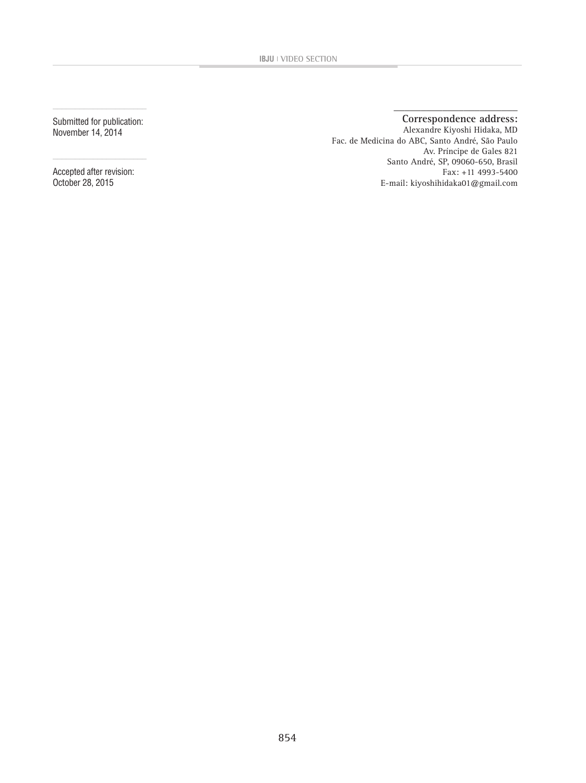Submitted for publication: November 14, 2014

 $\frac{1}{2}$  ,  $\frac{1}{2}$  ,  $\frac{1}{2}$  ,  $\frac{1}{2}$  ,  $\frac{1}{2}$  ,  $\frac{1}{2}$  ,  $\frac{1}{2}$  ,  $\frac{1}{2}$  ,  $\frac{1}{2}$  ,  $\frac{1}{2}$  ,  $\frac{1}{2}$  ,  $\frac{1}{2}$  ,  $\frac{1}{2}$  ,  $\frac{1}{2}$  ,  $\frac{1}{2}$  ,  $\frac{1}{2}$  ,  $\frac{1}{2}$  ,  $\frac{1}{2}$  ,  $\frac{1$ 

Accepted after revision: October 28, 2015

#### **\_\_\_\_\_\_\_\_\_\_\_\_\_\_\_\_\_\_\_\_\_\_\_ Correspondence address:**

Alexandre Kiyoshi Hidaka, MD Fac. de Medicina do ABC, Santo André, São Paulo Av. Príncipe de Gales 821 Santo André, SP, 09060-650, Brasil Fax: +11 4993-5400 E-mail: kiyoshihidaka01@gmail.com